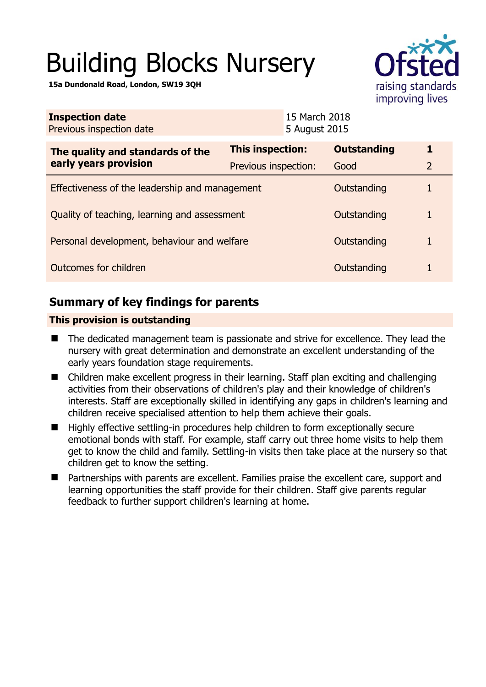# Building Blocks Nursery

**15a Dundonald Road, London, SW19 3QH** 



| <b>Inspection date</b><br>Previous inspection date        | 15 March 2018<br>5 August 2015 |                    |                |  |
|-----------------------------------------------------------|--------------------------------|--------------------|----------------|--|
| The quality and standards of the<br>early years provision | <b>This inspection:</b>        | <b>Outstanding</b> | 1              |  |
|                                                           | Previous inspection:           | Good               | $\overline{2}$ |  |
| Effectiveness of the leadership and management            |                                | Outstanding        |                |  |
| Quality of teaching, learning and assessment              |                                | Outstanding        | 1              |  |
| Personal development, behaviour and welfare               |                                | Outstanding        | 1              |  |
| Outcomes for children                                     |                                | Outstanding        |                |  |

## **Summary of key findings for parents**

## **This provision is outstanding**

- The dedicated management team is passionate and strive for excellence. They lead the nursery with great determination and demonstrate an excellent understanding of the early years foundation stage requirements.
- Children make excellent progress in their learning. Staff plan exciting and challenging activities from their observations of children's play and their knowledge of children's interests. Staff are exceptionally skilled in identifying any gaps in children's learning and children receive specialised attention to help them achieve their goals.
- Highly effective settling-in procedures help children to form exceptionally secure emotional bonds with staff. For example, staff carry out three home visits to help them get to know the child and family. Settling-in visits then take place at the nursery so that children get to know the setting.
- Partnerships with parents are excellent. Families praise the excellent care, support and learning opportunities the staff provide for their children. Staff give parents regular feedback to further support children's learning at home.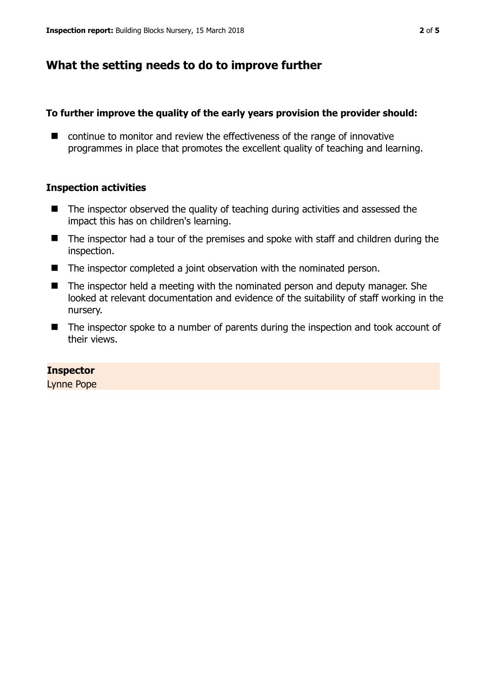## **What the setting needs to do to improve further**

#### **To further improve the quality of the early years provision the provider should:**

■ continue to monitor and review the effectiveness of the range of innovative programmes in place that promotes the excellent quality of teaching and learning.

## **Inspection activities**

- $\blacksquare$  The inspector observed the quality of teaching during activities and assessed the impact this has on children's learning.
- The inspector had a tour of the premises and spoke with staff and children during the inspection.
- The inspector completed a joint observation with the nominated person.
- The inspector held a meeting with the nominated person and deputy manager. She looked at relevant documentation and evidence of the suitability of staff working in the nursery.
- The inspector spoke to a number of parents during the inspection and took account of their views.

#### **Inspector**

Lynne Pope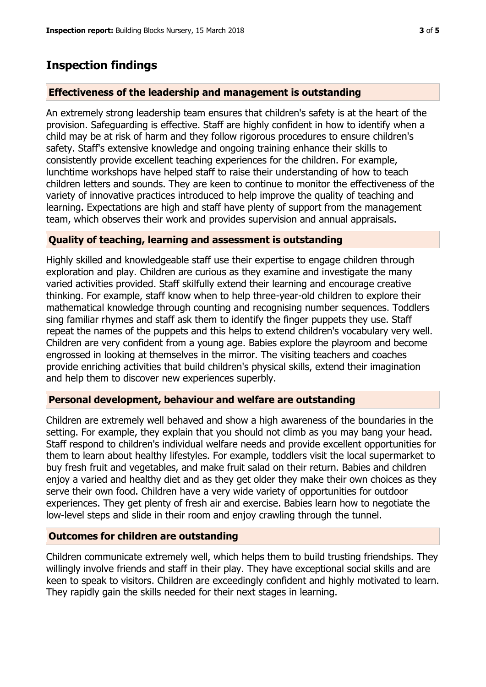## **Inspection findings**

## **Effectiveness of the leadership and management is outstanding**

An extremely strong leadership team ensures that children's safety is at the heart of the provision. Safeguarding is effective. Staff are highly confident in how to identify when a child may be at risk of harm and they follow rigorous procedures to ensure children's safety. Staff's extensive knowledge and ongoing training enhance their skills to consistently provide excellent teaching experiences for the children. For example, lunchtime workshops have helped staff to raise their understanding of how to teach children letters and sounds. They are keen to continue to monitor the effectiveness of the variety of innovative practices introduced to help improve the quality of teaching and learning. Expectations are high and staff have plenty of support from the management team, which observes their work and provides supervision and annual appraisals.

## **Quality of teaching, learning and assessment is outstanding**

Highly skilled and knowledgeable staff use their expertise to engage children through exploration and play. Children are curious as they examine and investigate the many varied activities provided. Staff skilfully extend their learning and encourage creative thinking. For example, staff know when to help three-year-old children to explore their mathematical knowledge through counting and recognising number sequences. Toddlers sing familiar rhymes and staff ask them to identify the finger puppets they use. Staff repeat the names of the puppets and this helps to extend children's vocabulary very well. Children are very confident from a young age. Babies explore the playroom and become engrossed in looking at themselves in the mirror. The visiting teachers and coaches provide enriching activities that build children's physical skills, extend their imagination and help them to discover new experiences superbly.

## **Personal development, behaviour and welfare are outstanding**

Children are extremely well behaved and show a high awareness of the boundaries in the setting. For example, they explain that you should not climb as you may bang your head. Staff respond to children's individual welfare needs and provide excellent opportunities for them to learn about healthy lifestyles. For example, toddlers visit the local supermarket to buy fresh fruit and vegetables, and make fruit salad on their return. Babies and children enjoy a varied and healthy diet and as they get older they make their own choices as they serve their own food. Children have a very wide variety of opportunities for outdoor experiences. They get plenty of fresh air and exercise. Babies learn how to negotiate the low-level steps and slide in their room and enjoy crawling through the tunnel.

## **Outcomes for children are outstanding**

Children communicate extremely well, which helps them to build trusting friendships. They willingly involve friends and staff in their play. They have exceptional social skills and are keen to speak to visitors. Children are exceedingly confident and highly motivated to learn. They rapidly gain the skills needed for their next stages in learning.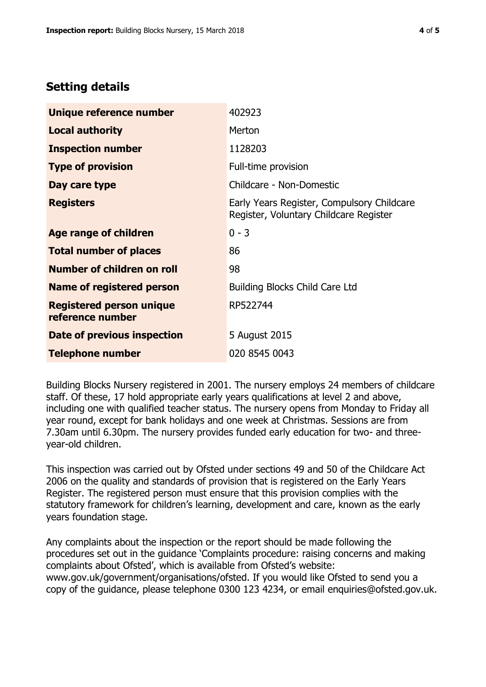## **Setting details**

| Unique reference number                             | 402923                                                                               |  |
|-----------------------------------------------------|--------------------------------------------------------------------------------------|--|
| <b>Local authority</b>                              | Merton                                                                               |  |
| <b>Inspection number</b>                            | 1128203                                                                              |  |
| <b>Type of provision</b>                            | Full-time provision                                                                  |  |
| Day care type                                       | Childcare - Non-Domestic                                                             |  |
| <b>Registers</b>                                    | Early Years Register, Compulsory Childcare<br>Register, Voluntary Childcare Register |  |
| Age range of children                               | $0 - 3$                                                                              |  |
| <b>Total number of places</b>                       | 86                                                                                   |  |
| Number of children on roll                          | 98                                                                                   |  |
| Name of registered person                           | <b>Building Blocks Child Care Ltd</b>                                                |  |
| <b>Registered person unique</b><br>reference number | RP522744                                                                             |  |
| <b>Date of previous inspection</b>                  | 5 August 2015                                                                        |  |
| <b>Telephone number</b>                             | 020 8545 0043                                                                        |  |

Building Blocks Nursery registered in 2001. The nursery employs 24 members of childcare staff. Of these, 17 hold appropriate early years qualifications at level 2 and above, including one with qualified teacher status. The nursery opens from Monday to Friday all year round, except for bank holidays and one week at Christmas. Sessions are from 7.30am until 6.30pm. The nursery provides funded early education for two- and threeyear-old children.

This inspection was carried out by Ofsted under sections 49 and 50 of the Childcare Act 2006 on the quality and standards of provision that is registered on the Early Years Register. The registered person must ensure that this provision complies with the statutory framework for children's learning, development and care, known as the early years foundation stage.

Any complaints about the inspection or the report should be made following the procedures set out in the guidance 'Complaints procedure: raising concerns and making complaints about Ofsted', which is available from Ofsted's website: www.gov.uk/government/organisations/ofsted. If you would like Ofsted to send you a copy of the guidance, please telephone 0300 123 4234, or email enquiries@ofsted.gov.uk.